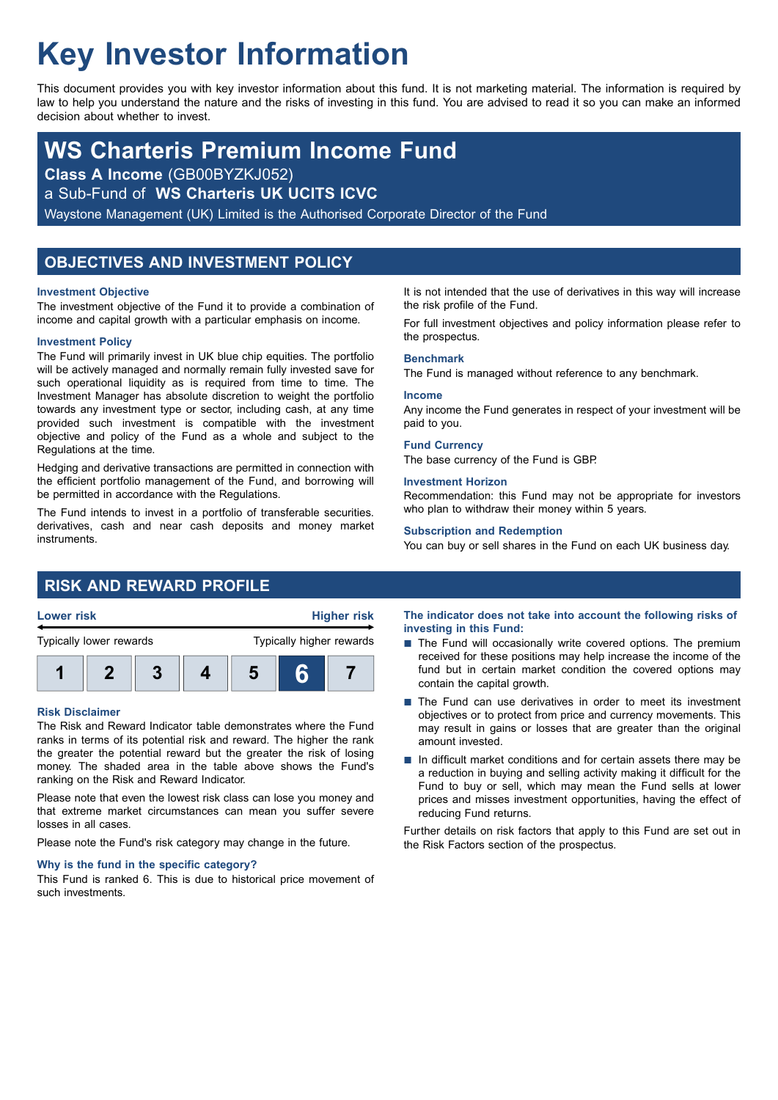# **Key Investor Information**

This document provides you with key investor information about this fund. It is not marketing material. The information is required by law to help you understand the nature and the risks of investing in this fund. You are advised to read it so you can make an informed decision about whether to invest.

## **WS Charteris Premium Income Fund**

**Class A Income** (GB00BYZKJ052)

a Sub-Fund of **WS Charteris UK UCITS ICVC**

Waystone Management (UK) Limited is the Authorised Corporate Director of the Fund

### **OBJECTIVES AND INVESTMENT POLICY**

### **Investment Objective**

The investment objective of the Fund it to provide a combination of income and capital growth with a particular emphasis on income.

### **Investment Policy**

The Fund will primarily invest in UK blue chip equities. The portfolio will be actively managed and normally remain fully invested save for such operational liquidity as is required from time to time. The Investment Manager has absolute discretion to weight the portfolio towards any investment type or sector, including cash, at any time provided such investment is compatible with the investment objective and policy of the Fund as a whole and subject to the Regulations at the time.

Hedging and derivative transactions are permitted in connection with the efficient portfolio management of the Fund, and borrowing will be permitted in accordance with the Regulations.

The Fund intends to invest in a portfolio of transferable securities. derivatives, cash and near cash deposits and money market instruments.

It is not intended that the use of derivatives in this way will increase the risk profile of the Fund.

For full investment objectives and policy information please refer to the prospectus.

### **Benchmark**

The Fund is managed without reference to any benchmark.

### **Income**

Any income the Fund generates in respect of your investment will be paid to you.

### **Fund Currency**

The base currency of the Fund is GBP.

### **Investment Horizon**

Recommendation: this Fund may not be appropriate for investors who plan to withdraw their money within 5 years.

### **Subscription and Redemption**

You can buy or sell shares in the Fund on each UK business day.

### **RISK AND REWARD PROFILE**



### **Risk Disclaimer**

The Risk and Reward Indicator table demonstrates where the Fund ranks in terms of its potential risk and reward. The higher the rank the greater the potential reward but the greater the risk of losing money. The shaded area in the table above shows the Fund's ranking on the Risk and Reward Indicator.

Please note that even the lowest risk class can lose you money and that extreme market circumstances can mean you suffer severe losses in all cases.

Please note the Fund's risk category may change in the future.

### **Why is the fund in the specific category?**

This Fund is ranked 6. This is due to historical price movement of such investments.

**The indicator does not take into account the following risks of investing in this Fund:**

- $\blacksquare$  The Fund will occasionally write covered options. The premium received for these positions may help increase the income of the fund but in certain market condition the covered options may contain the capital growth.
- The Fund can use derivatives in order to meet its investment objectives or to protect from price and currency movements. This may result in gains or losses that are greater than the original amount invested.
- $\blacksquare$  In difficult market conditions and for certain assets there may be a reduction in buying and selling activity making it difficult for the Fund to buy or sell, which may mean the Fund sells at lower prices and misses investment opportunities, having the effect of reducing Fund returns.

Further details on risk factors that apply to this Fund are set out in the Risk Factors section of the prospectus.